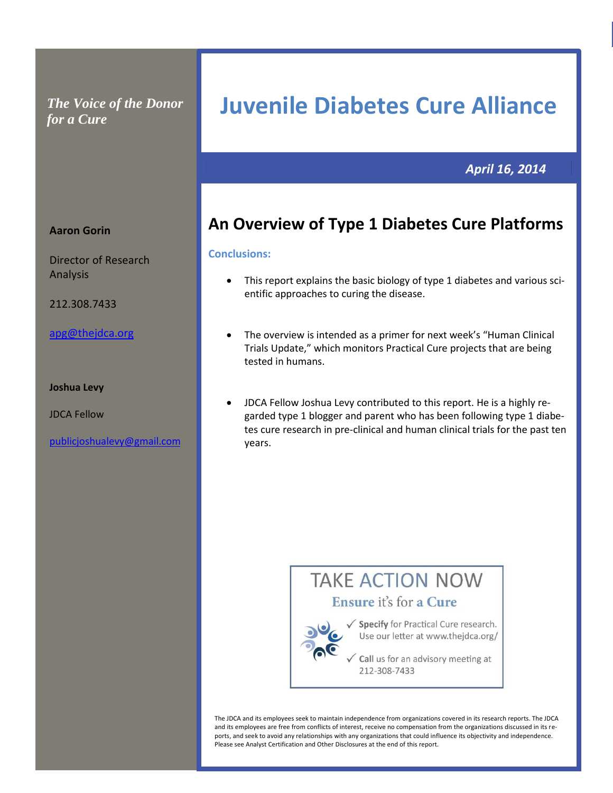*The Voice of the Donor for a Cure*

# **Juvenile Diabetes Cure Alliance**

**al Cure Pro Commercial Practical Cure Prospects spects Commercial Practical Cure Prospects**

## *April 16, 2014*

# **An Overview of Type 1 Diabetes Cure Platforms**

#### **Conclusions:**

- This report explains the basic biology of type 1 diabetes and various scientific approaches to curing the disease.
- The overview is intended as a primer for next week's "Human Clinical Trials Update," which monitors Practical Cure projects that are being tested in humans.
- JDCA Fellow Joshua Levy contributed to this report. He is a highly regarded type 1 blogger and parent who has been following type 1 diabetes cure research in pre-clinical and human clinical trials for the past ten years.



The JDCA and its employees seek to maintain independence from organizations covered in its research reports. The JDCA and its employees are free from conflicts of interest, receive no compensation from the organizations discussed in its reports, and seek to avoid any relationships with any organizations that could influence its objectivity and independence. Please see Analyst Certification and Other Disclosures at the end of this report.

#### **Aaron Gorin**

Director of Research Analysis

212.308.7433

#### [apg@thejdca.org](mailto:apg@thejdca.org)

#### **Joshua Levy**

JDCA Fellow

[publicjoshualevy@gmail.com](file:///C:/Users/Owner/Downloads/publicjoshualevy@gmail.com)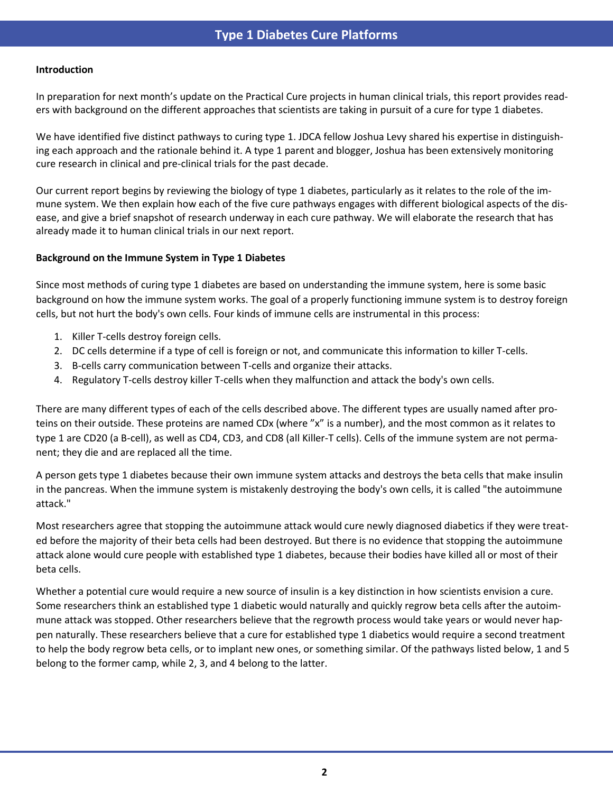#### **Introduction**

In preparation for next month's update on the Practical Cure projects in human clinical trials, this report provides readers with background on the different approaches that scientists are taking in pursuit of a cure for type 1 diabetes.

We have identified five distinct pathways to curing type 1. JDCA fellow Joshua Levy shared his expertise in distinguishing each approach and the rationale behind it. A type 1 parent and blogger, Joshua has been extensively monitoring cure research in clinical and pre-clinical trials for the past decade.

Our current report begins by reviewing the biology of type 1 diabetes, particularly as it relates to the role of the immune system. We then explain how each of the five cure pathways engages with different biological aspects of the disease, and give a brief snapshot of research underway in each cure pathway. We will elaborate the research that has already made it to human clinical trials in our next report.

#### **Background on the Immune System in Type 1 Diabetes**

Since most methods of curing type 1 diabetes are based on understanding the immune system, here is some basic background on how the immune system works. The goal of a properly functioning immune system is to destroy foreign cells, but not hurt the body's own cells. Four kinds of immune cells are instrumental in this process:

- 1. Killer T-cells destroy foreign cells.
- 2. DC cells determine if a type of cell is foreign or not, and communicate this information to killer T-cells.
- 3. B-cells carry communication between T-cells and organize their attacks.
- 4. Regulatory T-cells destroy killer T-cells when they malfunction and attack the body's own cells.

There are many different types of each of the cells described above. The different types are usually named after proteins on their outside. These proteins are named CDx (where "x" is a number), and the most common as it relates to type 1 are CD20 (a B-cell), as well as CD4, CD3, and CD8 (all Killer-T cells). Cells of the immune system are not permanent; they die and are replaced all the time.

A person gets type 1 diabetes because their own immune system attacks and destroys the beta cells that make insulin in the pancreas. When the immune system is mistakenly destroying the body's own cells, it is called "the autoimmune attack."

Most researchers agree that stopping the autoimmune attack would cure newly diagnosed diabetics if they were treated before the majority of their beta cells had been destroyed. But there is no evidence that stopping the autoimmune attack alone would cure people with established type 1 diabetes, because their bodies have killed all or most of their beta cells.

Whether a potential cure would require a new source of insulin is a key distinction in how scientists envision a cure. Some researchers think an established type 1 diabetic would naturally and quickly regrow beta cells after the autoimmune attack was stopped. Other researchers believe that the regrowth process would take years or would never happen naturally. These researchers believe that a cure for established type 1 diabetics would require a second treatment to help the body regrow beta cells, or to implant new ones, or something similar. Of the pathways listed below, 1 and 5 belong to the former camp, while 2, 3, and 4 belong to the latter.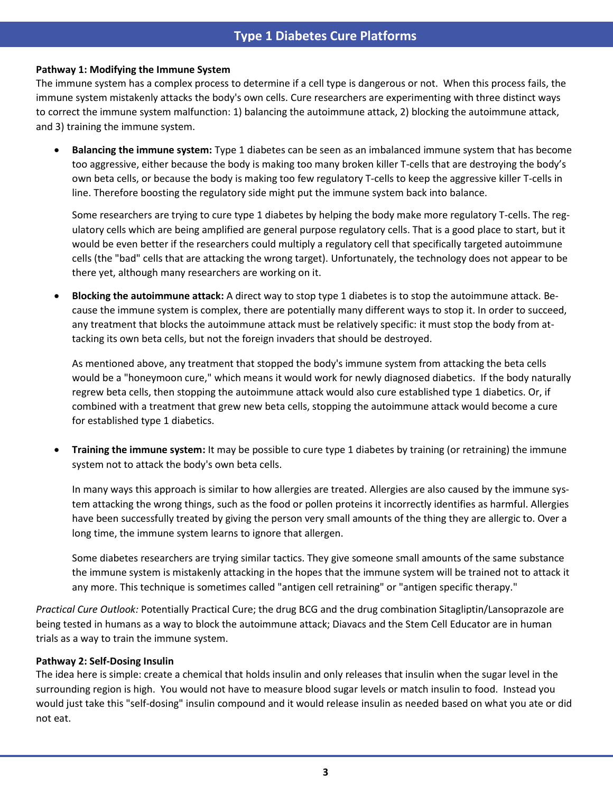## **Type 1 Diabetes Cure Platforms**

#### **Pathway 1: Modifying the Immune System**

The immune system has a complex process to determine if a cell type is dangerous or not. When this process fails, the immune system mistakenly attacks the body's own cells. Cure researchers are experimenting with three distinct ways to correct the immune system malfunction: 1) balancing the autoimmune attack, 2) blocking the autoimmune attack, and 3) training the immune system.

 **Balancing the immune system:** Type 1 diabetes can be seen as an imbalanced immune system that has become too aggressive, either because the body is making too many broken killer T-cells that are destroying the body's own beta cells, or because the body is making too few regulatory T-cells to keep the aggressive killer T-cells in line. Therefore boosting the regulatory side might put the immune system back into balance.

Some researchers are trying to cure type 1 diabetes by helping the body make more regulatory T-cells. The regulatory cells which are being amplified are general purpose regulatory cells. That is a good place to start, but it would be even better if the researchers could multiply a regulatory cell that specifically targeted autoimmune cells (the "bad" cells that are attacking the wrong target). Unfortunately, the technology does not appear to be there yet, although many researchers are working on it.

 **Blocking the autoimmune attack:** A direct way to stop type 1 diabetes is to stop the autoimmune attack. Because the immune system is complex, there are potentially many different ways to stop it. In order to succeed, any treatment that blocks the autoimmune attack must be relatively specific: it must stop the body from attacking its own beta cells, but not the foreign invaders that should be destroyed.

As mentioned above, any treatment that stopped the body's immune system from attacking the beta cells would be a "honeymoon cure," which means it would work for newly diagnosed diabetics. If the body naturally regrew beta cells, then stopping the autoimmune attack would also cure established type 1 diabetics. Or, if combined with a treatment that grew new beta cells, stopping the autoimmune attack would become a cure for established type 1 diabetics.

 **Training the immune system:** It may be possible to cure type 1 diabetes by training (or retraining) the immune system not to attack the body's own beta cells.

In many ways this approach is similar to how allergies are treated. Allergies are also caused by the immune system attacking the wrong things, such as the food or pollen proteins it incorrectly identifies as harmful. Allergies have been successfully treated by giving the person very small amounts of the thing they are allergic to. Over a long time, the immune system learns to ignore that allergen.

Some diabetes researchers are trying similar tactics. They give someone small amounts of the same substance the immune system is mistakenly attacking in the hopes that the immune system will be trained not to attack it any more. This technique is sometimes called "antigen cell retraining" or "antigen specific therapy."

*Practical Cure Outlook:* Potentially Practical Cure; the drug BCG and the drug combination Sitagliptin/Lansoprazole are being tested in humans as a way to block the autoimmune attack; Diavacs and the Stem Cell Educator are in human trials as a way to train the immune system.

#### **Pathway 2: Self-Dosing Insulin**

The idea here is simple: create a chemical that holds insulin and only releases that insulin when the sugar level in the surrounding region is high. You would not have to measure blood sugar levels or match insulin to food. Instead you would just take this "self-dosing" insulin compound and it would release insulin as needed based on what you ate or did not eat.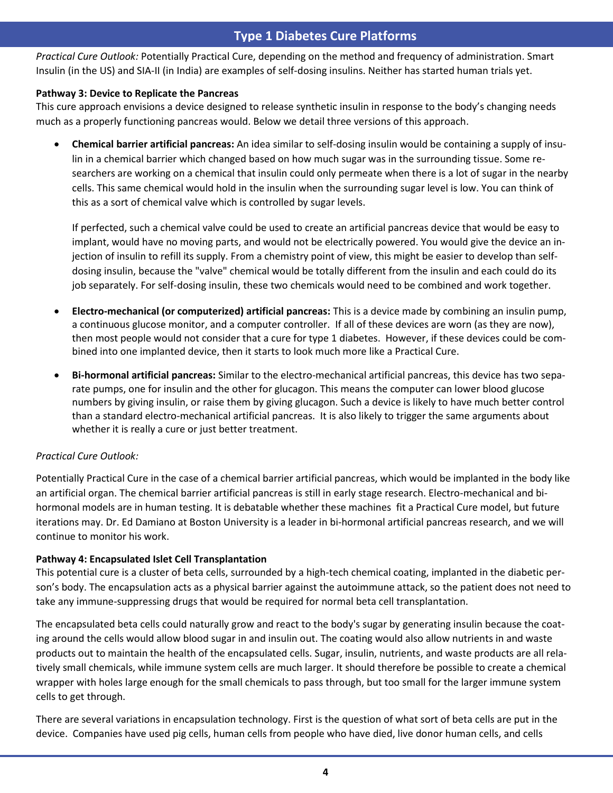## **Type 1 Diabetes Cure Platforms**

Practical Cure Outlook: Potentially Practical Cure, depending on the method and frequency of administration. Smart Insulin (in the US) and SIA-II (in India) are examples of self-dosing insulins. Neither has started human trials yet.

#### **Pathway 3: Device to Replicate the Pancreas**

This cure approach envisions a device designed to release synthetic insulin in response to the body's changing needs much as a properly functioning pancreas would. Below we detail three versions of this approach.

 **Chemical barrier artificial pancreas:** An idea similar to self-dosing insulin would be containing a supply of insulin in a chemical barrier which changed based on how much sugar was in the surrounding tissue. Some researchers are working on a chemical that insulin could only permeate when there is a lot of sugar in the nearby cells. This same chemical would hold in the insulin when the surrounding sugar level is low. You can think of this as a sort of chemical valve which is controlled by sugar levels.

If perfected, such a chemical valve could be used to create an artificial pancreas device that would be easy to implant, would have no moving parts, and would not be electrically powered. You would give the device an injection of insulin to refill its supply. From a chemistry point of view, this might be easier to develop than selfdosing insulin, because the "valve" chemical would be totally different from the insulin and each could do its job separately. For self-dosing insulin, these two chemicals would need to be combined and work together.

- **Electro-mechanical (or computerized) artificial pancreas:** This is a device made by combining an insulin pump, a continuous glucose monitor, and a computer controller. If all of these devices are worn (as they are now), then most people would not consider that a cure for type 1 diabetes. However, if these devices could be combined into one implanted device, then it starts to look much more like a Practical Cure.
- **Bi-hormonal artificial pancreas:** Similar to the electro-mechanical artificial pancreas, this device has two separate pumps, one for insulin and the other for glucagon. This means the computer can lower blood glucose numbers by giving insulin, or raise them by giving glucagon. Such a device is likely to have much better control than a standard electro-mechanical artificial pancreas. It is also likely to trigger the same arguments about whether it is really a cure or just better treatment.

## *Practical Cure Outlook:*

Potentially Practical Cure in the case of a chemical barrier artificial pancreas, which would be implanted in the body like an artificial organ. The chemical barrier artificial pancreas is still in early stage research. Electro-mechanical and bihormonal models are in human testing. It is debatable whether these machines fit a Practical Cure model, but future iterations may. Dr. Ed Damiano at Boston University is a leader in bi-hormonal artificial pancreas research, and we will continue to monitor his work.

## **Pathway 4: Encapsulated Islet Cell Transplantation**

This potential cure is a cluster of beta cells, surrounded by a high-tech chemical coating, implanted in the diabetic person's body. The encapsulation acts as a physical barrier against the autoimmune attack, so the patient does not need to take any immune-suppressing drugs that would be required for normal beta cell transplantation.

The encapsulated beta cells could naturally grow and react to the body's sugar by generating insulin because the coating around the cells would allow blood sugar in and insulin out. The coating would also allow nutrients in and waste products out to maintain the health of the encapsulated cells. Sugar, insulin, nutrients, and waste products are all relatively small chemicals, while immune system cells are much larger. It should therefore be possible to create a chemical wrapper with holes large enough for the small chemicals to pass through, but too small for the larger immune system cells to get through.

There are several variations in encapsulation technology. First is the question of what sort of beta cells are put in the device. Companies have used pig cells, human cells from people who have died, live donor human cells, and cells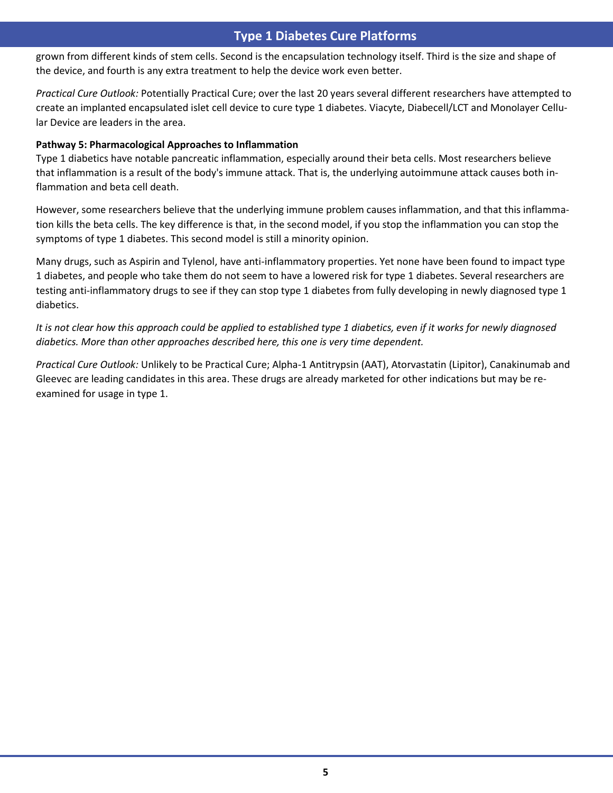## **Type 1 Diabetes Cure Platforms**

grown from different kinds of stem cells. Second is the encapsulation technology itself. Third is the size and shape of the device, and fourth is any extra treatment to help the device work even better.

*Practical Cure Outlook:* Potentially Practical Cure; over the last 20 years several different researchers have attempted to create an implanted encapsulated islet cell device to cure type 1 diabetes. Viacyte, Diabecell/LCT and Monolayer Cellular Device are leaders in the area.

#### **Pathway 5: Pharmacological Approaches to Inflammation**

Type 1 diabetics have notable pancreatic inflammation, especially around their beta cells. Most researchers believe that inflammation is a result of the body's immune attack. That is, the underlying autoimmune attack causes both inflammation and beta cell death.

However, some researchers believe that the underlying immune problem causes inflammation, and that this inflammation kills the beta cells. The key difference is that, in the second model, if you stop the inflammation you can stop the symptoms of type 1 diabetes. This second model is still a minority opinion.

Many drugs, such as Aspirin and Tylenol, have anti-inflammatory properties. Yet none have been found to impact type 1 diabetes, and people who take them do not seem to have a lowered risk for type 1 diabetes. Several researchers are testing anti-inflammatory drugs to see if they can stop type 1 diabetes from fully developing in newly diagnosed type 1 diabetics.

*It is not clear how this approach could be applied to established type 1 diabetics, even if it works for newly diagnosed diabetics. More than other approaches described here, this one is very time dependent.*

*Practical Cure Outlook:* Unlikely to be Practical Cure; Alpha-1 Antitrypsin (AAT), Atorvastatin (Lipitor), Canakinumab and Gleevec are leading candidates in this area. These drugs are already marketed for other indications but may be reexamined for usage in type 1.